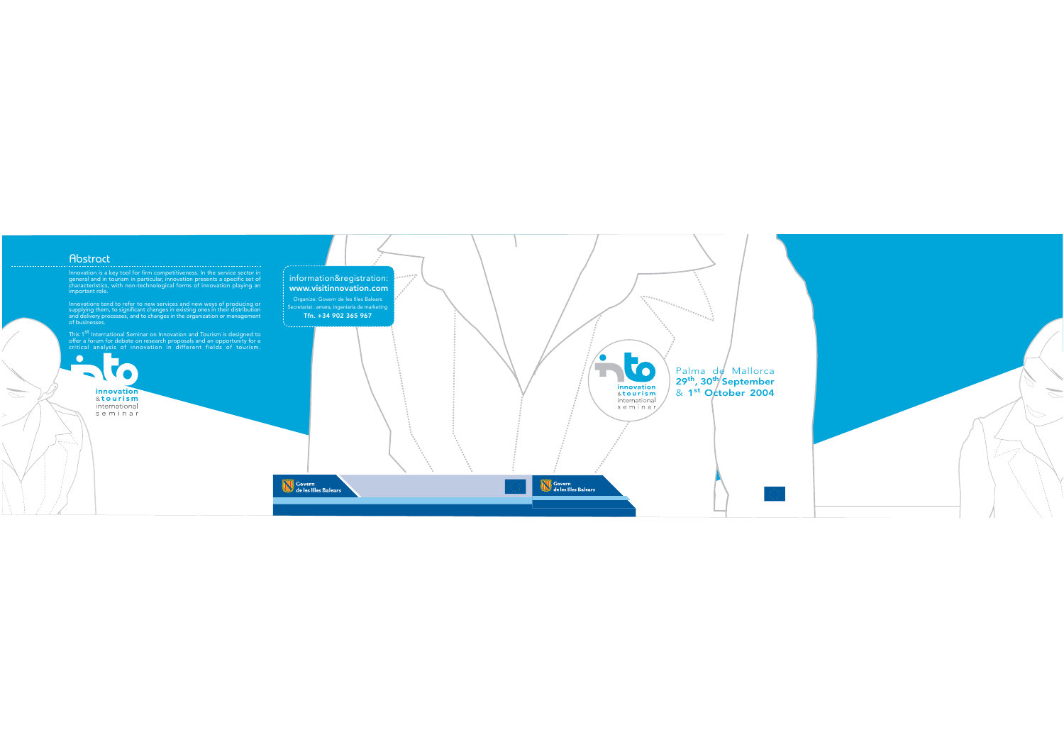# Abstract

<u>ri</u>

Innovation is a key tool for firm competitiveness. In the service sector in general and in tourism in particular, innovation presents a specific set of<br>characteristics, with non-technological forms of innovation playing an important role.

Innovations tend to refer to new services and new ways of producing or involving them, to refer to new services and new ways of producing or<br>and delivery processes, and to changes in existing ones in their distribution<br>and delivery processes, and to changes in the organization or management<br>o

This 1<sup>st</sup> International Seminar on Innovation and Tourism is designed to<br>offer a forum for debate on research proposals and an opportunity for a<br>critical analysis of innovation in different fields of tourism.

innovation &tourism international seminar



V o Palma de Mallorca  $29<sup>th</sup>$ ,  $30<sup>th</sup>$  September<br>&  $1<sup>st</sup>$  October 2004 innovation &tourism international seminar